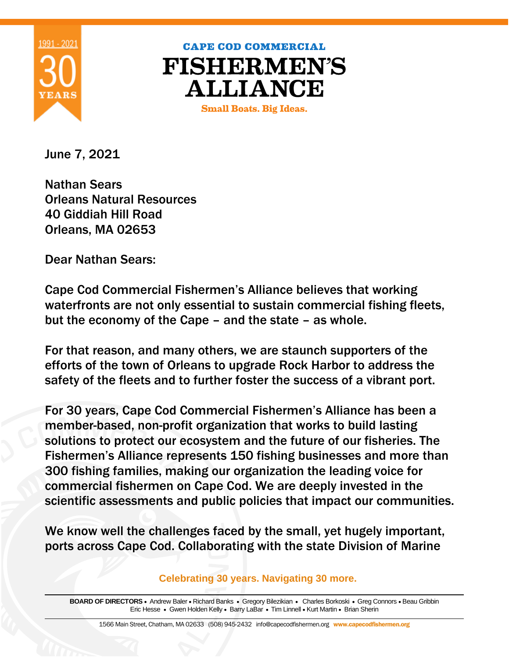

## **CAPE COD COMMERCIAL FISHERMEN'S ALLIANCE**

**Small Boats. Big Ideas.** 

June 7, 2021

Nathan Sears Orleans Natural Resources 40 Giddiah Hill Road Orleans, MA 02653

Dear Nathan Sears:

Cape Cod Commercial Fishermen's Alliance believes that working waterfronts are not only essential to sustain commercial fishing fleets, but the economy of the Cape – and the state – as whole.

For that reason, and many others, we are staunch supporters of the efforts of the town of Orleans to upgrade Rock Harbor to address the safety of the fleets and to further foster the success of a vibrant port.

For 30 years, Cape Cod Commercial Fishermen's Alliance has been a member-based, non-profit organization that works to build lasting solutions to protect our ecosystem and the future of our fisheries. The Fishermen's Alliance represents 150 fishing businesses and more than 300 fishing families, making our organization the leading voice for commercial fishermen on Cape Cod. We are deeply invested in the scientific assessments and public policies that impact our communities.

We know well the challenges faced by the small, yet hugely important, ports across Cape Cod. Collaborating with the state Division of Marine

**Celebrating 30 years. Navigating 30 more.** 

**BOARD OF DIRECTORS** • Andrew Baler • Richard Banks • Gregory Bilezikian • Charles Borkoski • Greg Connors • Beau Gribbin Eric Hesse • Gwen Holden Kelly • Barry LaBar • Tim Linnell • Kurt Martin • Brian Sherin